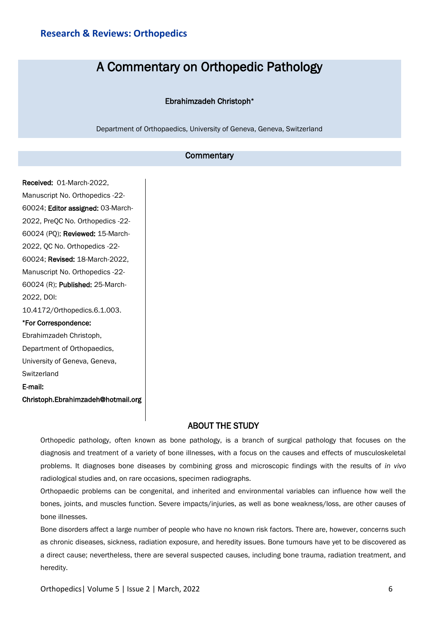# A Commentary on Orthopedic Pathology

### Ebrahimzadeh Christoph\*

Department of Orthopaedics, University of Geneva, Geneva, Switzerland

## **Commentary**

Received: 01-March-2022, Manuscript No. Orthopedics -22- 60024; Editor assigned: 03-March-2022, PreQC No. Orthopedics -22- 60024 (PQ); Reviewed: 15-March-2022, QC No. Orthopedics -22- 60024; Revised: 18-March-2022, Manuscript No. Orthopedics -22- 60024 (R); Published: 25-March-2022, DOI: 10.4172/Orthopedics.6.1.003. \*For Correspondence: Ebrahimzadeh Christoph, Department of Orthopaedics, University of Geneva, Geneva, **Switzerland** E-mail: Christoph.Ebrahimzadeh@hotmail.org

## ABOUT THE STUDY

Orthopedic pathology, often known as bone pathology, is a branch of surgical pathology that focuses on the diagnosis and treatment of a variety of bone illnesses, with a focus on the causes and effects of musculoskeletal problems. It diagnoses bone diseases by combining gross and microscopic findings with the results of *in vivo* radiological studies and, on rare occasions, specimen radiographs.

Orthopaedic problems can be congenital, and inherited and environmental variables can influence how well the bones, joints, and muscles function. Severe impacts/injuries, as well as bone weakness/loss, are other causes of bone illnesses.

Bone disorders affect a large number of people who have no known risk factors. There are, however, concerns such as chronic diseases, sickness, radiation exposure, and heredity issues. Bone tumours have yet to be discovered as a direct cause; nevertheless, there are several suspected causes, including bone trauma, radiation treatment, and heredity.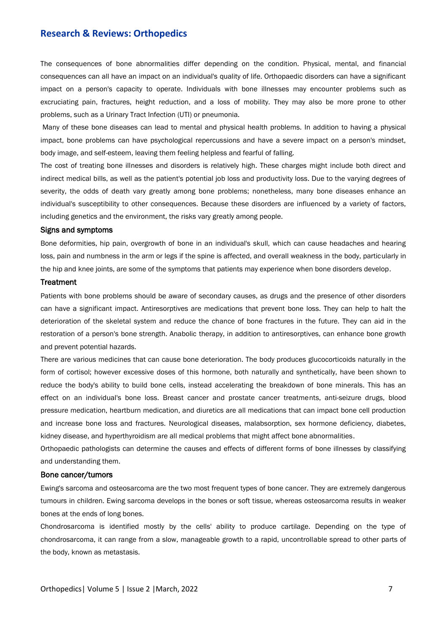## **Research & Reviews: Orthopedics**

The consequences of bone abnormalities differ depending on the condition. Physical, mental, and financial consequences can all have an impact on an individual's quality of life. Orthopaedic disorders can have a significant impact on a person's capacity to operate. Individuals with bone illnesses may encounter problems such as excruciating pain, fractures, height reduction, and a loss of mobility. They may also be more prone to other problems, such as a Urinary Tract Infection (UTI) or pneumonia.

Many of these bone diseases can lead to mental and physical health problems. In addition to having a physical impact, bone problems can have psychological repercussions and have a severe impact on a person's mindset, body image, and self-esteem, leaving them feeling helpless and fearful of falling.

The cost of treating bone illnesses and disorders is relatively high. These charges might include both direct and indirect medical bills, as well as the patient's potential job loss and productivity loss. Due to the varying degrees of severity, the odds of death vary greatly among bone problems; nonetheless, many bone diseases enhance an individual's susceptibility to other consequences. Because these disorders are influenced by a variety of factors, including genetics and the environment, the risks vary greatly among people.

#### Signs and symptoms

Bone deformities, hip pain, overgrowth of bone in an individual's skull, which can cause headaches and hearing loss, pain and numbness in the arm or legs if the spine is affected, and overall weakness in the body, particularly in the hip and knee joints, are some of the symptoms that patients may experience when bone disorders develop.

#### **Treatment**

Patients with bone problems should be aware of secondary causes, as drugs and the presence of other disorders can have a significant impact. Antiresorptives are medications that prevent bone loss. They can help to halt the deterioration of the skeletal system and reduce the chance of bone fractures in the future. They can aid in the restoration of a person's bone strength. Anabolic therapy, in addition to antiresorptives, can enhance bone growth and prevent potential hazards.

There are various medicines that can cause bone deterioration. The body produces glucocorticoids naturally in the form of cortisol; however excessive doses of this hormone, both naturally and synthetically, have been shown to reduce the body's ability to build bone cells, instead accelerating the breakdown of bone minerals. This has an effect on an individual's bone loss. Breast cancer and prostate cancer treatments, anti-seizure drugs, blood pressure medication, heartburn medication, and diuretics are all medications that can impact bone cell production and increase bone loss and fractures. Neurological diseases, malabsorption, sex hormone deficiency, diabetes, kidney disease, and hyperthyroidism are all medical problems that might affect bone abnormalities.

Orthopaedic pathologists can determine the causes and effects of different forms of bone illnesses by classifying and understanding them.

#### Bone cancer/tumors

Ewing's sarcoma and osteosarcoma are the two most frequent types of bone cancer. They are extremely dangerous tumours in children. Ewing sarcoma develops in the bones or soft tissue, whereas osteosarcoma results in weaker bones at the ends of long bones.

Chondrosarcoma is identified mostly by the cells' ability to produce cartilage. Depending on the type of chondrosarcoma, it can range from a slow, manageable growth to a rapid, uncontrollable spread to other parts of the body, known as metastasis.